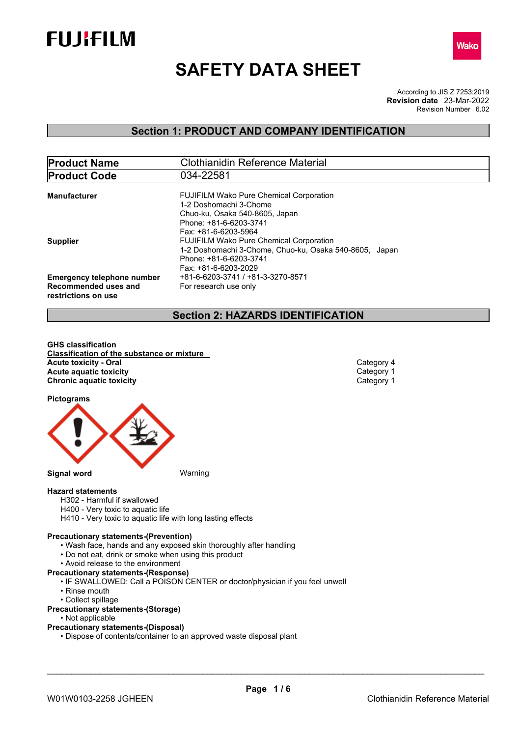



# **SAFETY DATA SHEET**

According to JIS Z 7253:2019 Revision Number 6.02 **Revision date** 23-Mar-2022

# **Section 1: PRODUCT AND COMPANY IDENTIFICATION**

| <b>Product Name</b>                         | Clothianidin Reference Material                        |  |  |  |
|---------------------------------------------|--------------------------------------------------------|--|--|--|
| <b>Product Code</b>                         | 034-22581                                              |  |  |  |
| <b>Manufacturer</b>                         | <b>FUJIFILM Wako Pure Chemical Corporation</b>         |  |  |  |
|                                             | 1-2 Doshomachi 3-Chome                                 |  |  |  |
|                                             | Chuo-ku, Osaka 540-8605, Japan                         |  |  |  |
|                                             | Phone: +81-6-6203-3741                                 |  |  |  |
|                                             | Fax: +81-6-6203-5964                                   |  |  |  |
| <b>Supplier</b>                             | <b>FUJIFILM Wako Pure Chemical Corporation</b>         |  |  |  |
|                                             | 1-2 Doshomachi 3-Chome, Chuo-ku, Osaka 540-8605, Japan |  |  |  |
|                                             | Phone: +81-6-6203-3741                                 |  |  |  |
|                                             | Fax: +81-6-6203-2029                                   |  |  |  |
| <b>Emergency telephone number</b>           | +81-6-6203-3741 / +81-3-3270-8571                      |  |  |  |
| Recommended uses and<br>restrictions on use | For research use only                                  |  |  |  |

# **Section 2: HAZARDS IDENTIFICATION**

**GHS classification Classification of the substance or mixture Acute toxicity - Oral** Category 4<br> **Acute aquatic toxicity**<br>
Category 1 **Acute** aquatic toxicity **Category 1** Category 1 Chronic aquatic toxicity **Category 1 Chronic aquatic toxicity** 

**Pictograms**



**Hazard statements**

- H302 Harmful if swallowed
- H400 Very toxic to aquatic life
- H410 Very toxic to aquatic life with long lasting effects

#### **Precautionary statements-(Prevention)**

- Wash face, hands and any exposed skin thoroughly after handling
- Do not eat, drink or smoke when using this product
- Avoid release to the environment
- **Precautionary statements-(Response)**
	- IF SWALLOWED: Call a POISON CENTER or doctor/physician if you feel unwell
	- Rinse mouth
	- Collect spillage

#### **Precautionary statements-(Storage)**

- Not applicable
- **Precautionary statements-(Disposal)**
	- Dispose of contents/container to an approved waste disposal plant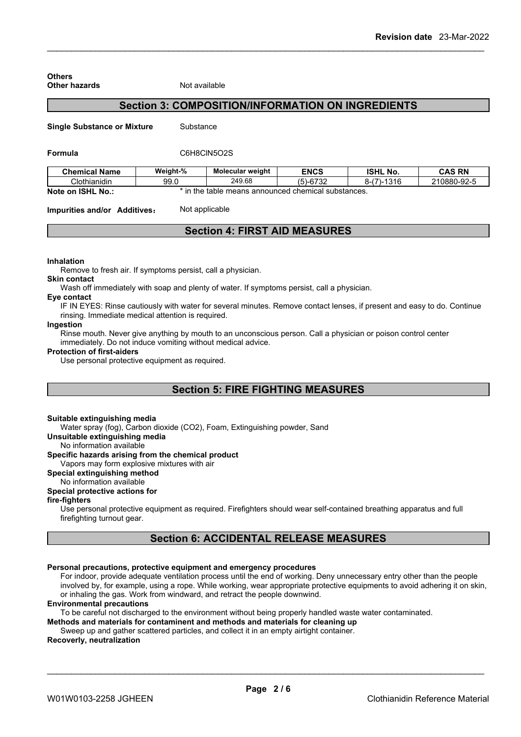| <b>Other hazards</b>                | Not available  |                                                          |             |                 |               |
|-------------------------------------|----------------|----------------------------------------------------------|-------------|-----------------|---------------|
|                                     |                | <b>Section 3: COMPOSITION/INFORMATION ON INGREDIENTS</b> |             |                 |               |
| <b>Single Substance or Mixture</b>  | Substance      |                                                          |             |                 |               |
| Formula                             | C6H8CIN5O2S    |                                                          |             |                 |               |
| <b>Chemical Name</b>                | Weight-%       | <b>Molecular weight</b>                                  | <b>ENCS</b> | <b>ISHL No.</b> | <b>CAS RN</b> |
| Clothianidin                        | 99.0           | 249.68                                                   | $(5)-6732$  | $8-(7)-1316$    | 210880-92-5   |
| Note on ISHL No.:                   |                | * in the table means announced chemical substances.      |             |                 |               |
| <b>Impurities and/or Additives:</b> | Not applicable |                                                          |             |                 |               |

# **Section 4: FIRST AID MEASURES**

#### **Inhalation**

**Others**

Remove to fresh air. If symptoms persist, call a physician.

#### **Skin contact**

Wash off immediately with soap and plenty of water. If symptoms persist, call a physician.

### **Eye contact**

IF IN EYES: Rinse cautiously with water for several minutes. Remove contact lenses, if present and easy to do. Continue rinsing. Immediate medical attention is required.

#### **Ingestion**

Rinse mouth. Never give anything by mouth to an unconscious person. Call a physician or poison control center immediately. Do not induce vomiting without medical advice.

#### **Protection of first-aiders**

Use personal protective equipment as required.

# **Section 5: FIRE FIGHTING MEASURES**

#### **Suitable extinguishing media**

Water spray (fog), Carbon dioxide (CO2), Foam, Extinguishing powder, Sand

**Unsuitable extinguishing media**

No information available

## **Specific hazards arising from the chemical product**

Vapors may form explosive mixtures with air

# **Special extinguishing method**

# No information available

# **Special protective actions for**

#### **fire-fighters**

Use personal protective equipment as required.Firefighters should wear self-contained breathing apparatus and full firefighting turnout gear.

# **Section 6: ACCIDENTAL RELEASE MEASURES**

#### **Personal precautions, protective equipment and emergency procedures**

For indoor, provide adequate ventilation process until the end of working. Deny unnecessary entry other than the people involved by, for example, using a rope. While working, wear appropriate protective equipments to avoid adhering it on skin, or inhaling the gas. Work from windward, and retract the people downwind.

#### **Environmental precautions**

To be careful not discharged to the environment without being properly handled waste water contaminated.

**Methods and materials for contaminent and methods and materials for cleaning up**

# Sweep up and gather scattered particles, and collect it in an empty airtight container.

#### **Recoverly, neutralization**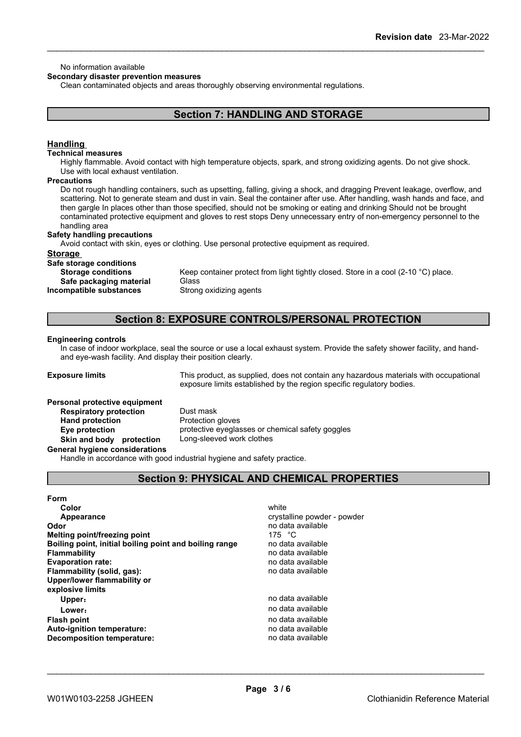#### No information available

#### **Secondary disaster prevention measures**

Clean contaminated objects and areas thoroughly observing environmental regulations.

# **Section 7: HANDLING AND STORAGE**

#### **Handling**

#### **Technical measures**

Highly flammable. Avoid contact with high temperature objects, spark, and strong oxidizing agents. Do not give shock. Use with local exhaust ventilation.

#### **Precautions**

Do not rough handling containers, such as upsetting, falling, giving a shock, and dragging Prevent leakage, overflow, and scattering. Not to generate steam and dust in vain. Seal the container after use. After handling, wash hands and face, and then gargle In places other than those specified, should not be smoking or eating and drinking Should not be brought contaminated protective equipment and gloves to rest stops Deny unnecessary entry of non-emergency personnel to the handling area

#### **Safety handling precautions**

Avoid contact with skin, eyes or clothing. Use personal protective equipment as required.

### **Storage**

**Safe storage conditions**

**Safe** packaging material **Incompatible substances** Strong oxidizing agents

**Storage conditions** Keep container protect from light tightly closed. Store in a cool (2-10 °C) place.<br>Safe nackaging material Glass

# **Section 8: EXPOSURE CONTROLS/PERSONAL PROTECTION**

#### **Engineering controls**

In case of indoor workplace, seal the source or use a local exhaust system. Provide the safety shower facility, and handand eye-wash facility. And display their position clearly.

**Exposure limits** This product, as supplied, does not contain any hazardous materials with occupational exposure limits established by the region specific regulatory bodies.

#### **Personal protective equipment**

**Respiratory protection** Dust mask **Hand protection** Protection gloves **Eye protection** protective eyeglasses or chemical safety goggles **Skin and body protection** Long-sleeved work clothes

#### **General hygiene considerations**

Handle in accordance with good industrial hygiene and safety practice.

# **Section 9: PHYSICAL AND CHEMICAL PROPERTIES**

| <b>Form</b>                                            |                             |
|--------------------------------------------------------|-----------------------------|
| Color                                                  | white                       |
| Appearance                                             | crystalline powder - powder |
| Odor                                                   | no data available           |
| Melting point/freezing point                           | 175 °C                      |
| Boiling point, initial boiling point and boiling range | no data available           |
| <b>Flammability</b>                                    | no data available           |
| <b>Evaporation rate:</b>                               | no data available           |
| Flammability (solid, gas):                             | no data available           |
| Upper/lower flammability or                            |                             |
| explosive limits                                       |                             |
| Upper:                                                 | no data available           |
| Lower:                                                 | no data available           |
| <b>Flash point</b>                                     | no data available           |
| Auto-ignition temperature:                             | no data available           |
| Decomposition temperature:                             | no data available           |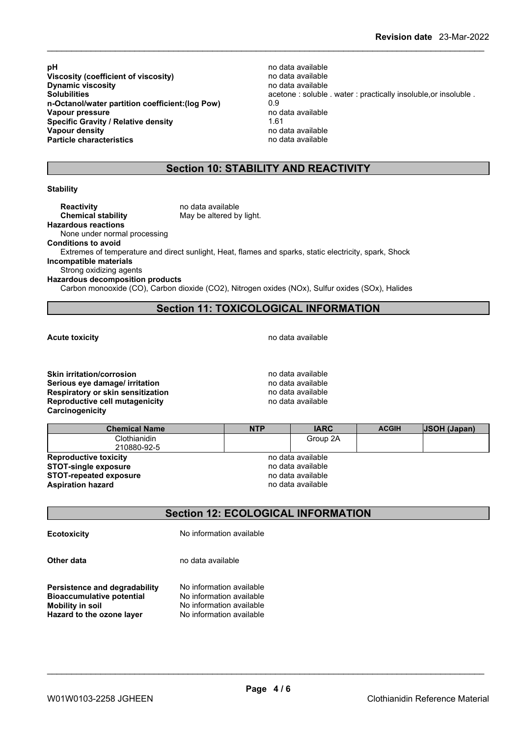**pH** no data available<br>**Viscosity (coefficient of viscosity) ho data available** no data available **Viscosity** (coefficient of viscosity) **Dynamic viscosity no data available no data available n-Octanol/water partition coefficient:(log Pow)** 0.9 **Vapour pressure** no d<br> **Specific Gravity / Relative density** 1.61 **Specific Gravity / Relative density Vapour density Particle characteristics** no data available

**Solubilities Solubilities acetone** : soluble . water : practically insoluble, or insoluble . **Vapour density** no data available

# **Section 10: STABILITY AND REACTIVITY**

#### **Stability**

**Reactivity no data available Chemical stability** May be altered by light. **Hazardous reactions**

None under normal processing

**Conditions to avoid**

Extremes of temperature and direct sunlight, Heat, flames and sparks, static electricity, spark, Shock

**Incompatible materials**

Strong oxidizing agents

**Hazardous decomposition products**

Carbon monooxide (CO), Carbon dioxide (CO2), Nitrogen oxides (NOx), Sulfur oxides (SOx), Halides

# **Section 11: TOXICOLOGICAL INFORMATION**

**Acute toxicity Acute toxicity hotal Acute toxicity hotal hotal hotal hotal hotal hotal hotal hotal hotal hotal hotal hotal hotal hotal hotal hotal hotal hotal hotal hotal** 

**Skin irritation/corrosion no data available** no data available **Serious eve damage/ irritation no data available Respiratory or skin sensitization**<br> **Reproductive cell mutagenicity**<br> **Reproductive cell mutagenicity**<br> **Reproductive cell mutagenicity Reproductive cell mutagenicity Carcinogenicity**

| <b>Chemical Name</b>          | <b>NTP</b> | <b>IARC</b>       | <b>ACGIH</b> | USOH (Japan) |
|-------------------------------|------------|-------------------|--------------|--------------|
| Clothianidin                  |            | Group 2A          |              |              |
| 210880-92-5                   |            |                   |              |              |
| <b>Reproductive toxicity</b>  |            | no data available |              |              |
| <b>STOT-single exposure</b>   |            | no data available |              |              |
| <b>STOT-repeated exposure</b> |            | no data available |              |              |
| <b>Aspiration hazard</b>      |            | no data available |              |              |

# **Section 12: ECOLOGICAL INFORMATION**

**Ecotoxicity** No information available

**Other data** no data available

**Persistence and degradability** No information available<br>**Bioaccumulative potential** No information available **Bioaccumulative potential Mobility in soil** No information available **Hazard to the ozone layer** No information available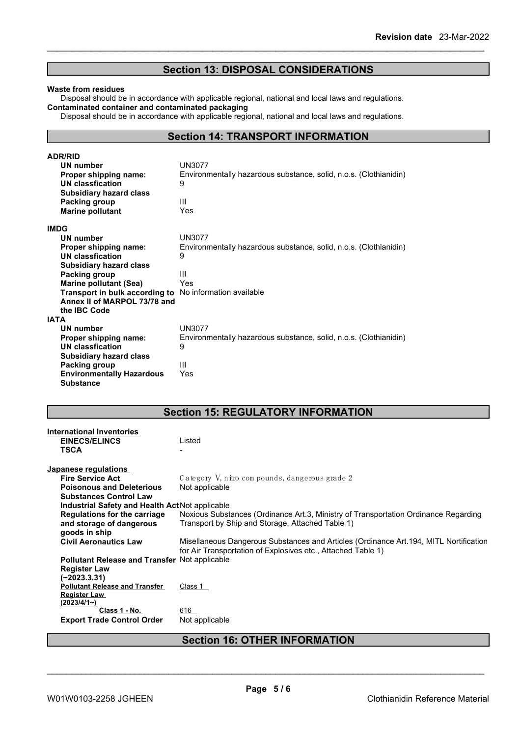# **Section 13: DISPOSAL CONSIDERATIONS**

#### **Waste from residues**

Disposal should be in accordance with applicable regional, national and local laws and regulations. **Contaminated container and contaminated packaging**

Disposal should be in accordance with applicable regional, national and local laws and regulations.

# **Section 14: TRANSPORT INFORMATION**

| <b>ADR/RID</b>                                                 |                                                                   |
|----------------------------------------------------------------|-------------------------------------------------------------------|
| UN number                                                      | <b>UN3077</b>                                                     |
| <b>Proper shipping name:</b>                                   | Environmentally hazardous substance, solid, n.o.s. (Clothianidin) |
| UN classfication                                               | 9                                                                 |
| Subsidiary hazard class                                        |                                                                   |
| Packing group                                                  | Ш                                                                 |
| <b>Marine pollutant</b>                                        | Yes                                                               |
| <b>IMDG</b>                                                    |                                                                   |
| UN number                                                      | <b>UN3077</b>                                                     |
| Proper shipping name:                                          | Environmentally hazardous substance, solid, n.o.s. (Clothianidin) |
| UN classfication                                               | 9                                                                 |
| <b>Subsidiary hazard class</b>                                 |                                                                   |
| Packing group                                                  | Ш                                                                 |
| <b>Marine pollutant (Sea)</b>                                  | Yes                                                               |
| <b>Transport in bulk according to</b> No information available |                                                                   |
| Annex II of MARPOL 73/78 and                                   |                                                                   |
| the IBC Code                                                   |                                                                   |
| <b>IATA</b>                                                    |                                                                   |
| UN number                                                      | <b>UN3077</b>                                                     |
| Proper shipping name:                                          | Environmentally hazardous substance, solid, n.o.s. (Clothianidin) |
| <b>UN classfication</b>                                        | 9                                                                 |
| <b>Subsidiary hazard class</b>                                 |                                                                   |
| Packing group                                                  | Ш                                                                 |
| <b>Environmentally Hazardous</b>                               | Yes                                                               |
| <b>Substance</b>                                               |                                                                   |

# **Section 15: REGULATORY INFORMATION**

| International Inventories<br><b>EINECS/ELINCS</b><br><b>TSCA</b> | Listed                                                                                 |
|------------------------------------------------------------------|----------------------------------------------------------------------------------------|
| Japanese regulations                                             |                                                                                        |
| <b>Fire Service Act</b>                                          | Category V, nitro compounds, dangerous grade 2                                         |
| <b>Poisonous and Deleterious</b>                                 | Not applicable                                                                         |
| <b>Substances Control Law</b>                                    |                                                                                        |
| Industrial Safety and Health Act Not applicable                  |                                                                                        |
| Regulations for the carriage                                     | Noxious Substances (Ordinance Art.3, Ministry of Transportation Ordinance Regarding    |
| and storage of dangerous                                         | Transport by Ship and Storage, Attached Table 1)                                       |
| goods in ship                                                    |                                                                                        |
| <b>Civil Aeronautics Law</b>                                     | Misellaneous Dangerous Substances and Articles (Ordinance Art. 194, MITL Nortification |
|                                                                  | for Air Transportation of Explosives etc., Attached Table 1)                           |
| Pollutant Release and Transfer Not applicable                    |                                                                                        |
| <b>Register Law</b>                                              |                                                                                        |
| (~2023.3.31)                                                     |                                                                                        |
| <b>Pollutant Release and Transfer</b>                            | Class 1                                                                                |
| Register Law                                                     |                                                                                        |
| (2023/4/1)                                                       |                                                                                        |
| Class 1 - No.                                                    | 616                                                                                    |
| <b>Export Trade Control Order</b>                                | Not applicable                                                                         |
|                                                                  |                                                                                        |

# **Section 16: OTHER INFORMATION**